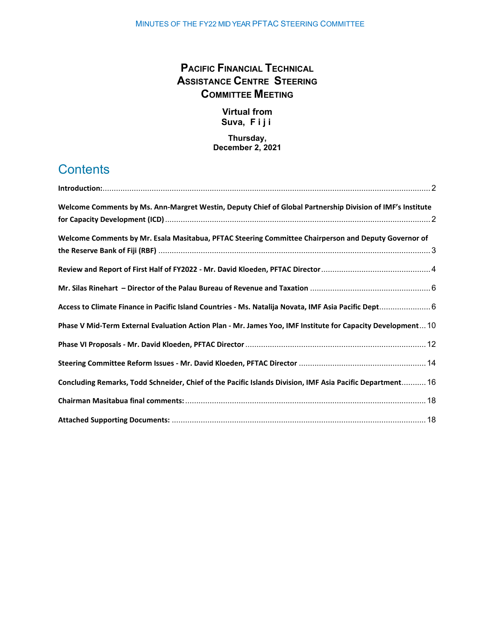# **PACIFIC FINANCIAL TECHNICAL ASSISTANCE CENTRE STEERING COMMITTEE MEETING**

## **Virtual from Suva, Fiji**

## **Thursday, December 2, 2021**

# **Contents**

| Welcome Comments by Ms. Ann-Margret Westin, Deputy Chief of Global Partnership Division of IMF's Institute  |  |
|-------------------------------------------------------------------------------------------------------------|--|
|                                                                                                             |  |
| Welcome Comments by Mr. Esala Masitabua, PFTAC Steering Committee Chairperson and Deputy Governor of        |  |
|                                                                                                             |  |
|                                                                                                             |  |
|                                                                                                             |  |
| Access to Climate Finance in Pacific Island Countries - Ms. Natalija Novata, IMF Asia Pacific Dept 6        |  |
| Phase V Mid-Term External Evaluation Action Plan - Mr. James Yoo, IMF Institute for Capacity Development 10 |  |
|                                                                                                             |  |
|                                                                                                             |  |
| Concluding Remarks, Todd Schneider, Chief of the Pacific Islands Division, IMF Asia Pacific Department 16   |  |
|                                                                                                             |  |
|                                                                                                             |  |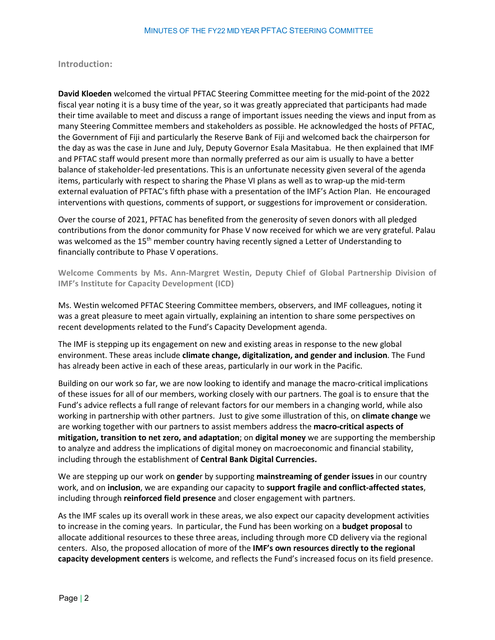## <span id="page-1-0"></span>**Introduction:**

**David Kloeden** welcomed the virtual PFTAC Steering Committee meeting for the mid-point of the 2022 fiscal year noting it is a busy time of the year, so it was greatly appreciated that participants had made their time available to meet and discuss a range of important issues needing the views and input from as many Steering Committee members and stakeholders as possible. He acknowledged the hosts of PFTAC, the Government of Fiji and particularly the Reserve Bank of Fiji and welcomed back the chairperson for the day as was the case in June and July, Deputy Governor Esala Masitabua. He then explained that IMF and PFTAC staff would present more than normally preferred as our aim is usually to have a better balance of stakeholder-led presentations. This is an unfortunate necessity given several of the agenda items, particularly with respect to sharing the Phase VI plans as well as to wrap-up the mid-term external evaluation of PFTAC's fifth phase with a presentation of the IMF's Action Plan. He encouraged interventions with questions, comments of support, or suggestions for improvement or consideration.

Over the course of 2021, PFTAC has benefited from the generosity of seven donors with all pledged contributions from the donor community for Phase V now received for which we are very grateful. Palau was welcomed as the  $15<sup>th</sup>$  member country having recently signed a Letter of Understanding to financially contribute to Phase V operations.

<span id="page-1-1"></span>**Welcome Comments by Ms. Ann-Margret Westin, Deputy Chief of Global Partnership Division of IMF's Institute for Capacity Development (ICD)**

Ms. Westin welcomed PFTAC Steering Committee members, observers, and IMF colleagues, noting it was a great pleasure to meet again virtually, explaining an intention to share some perspectives on recent developments related to the Fund's Capacity Development agenda.

The IMF is stepping up its engagement on new and existing areas in response to the new global environment. These areas include **climate change, digitalization, and gender and inclusion**. The Fund has already been active in each of these areas, particularly in our work in the Pacific.

Building on our work so far, we are now looking to identify and manage the macro-critical implications of these issues for all of our members, working closely with our partners. The goal is to ensure that the Fund's advice reflects a full range of relevant factors for our members in a changing world, while also working in partnership with other partners. Just to give some illustration of this, on **climate change** we are working together with our partners to assist members address the **macro-critical aspects of mitigation, transition to net zero, and adaptation**; on **digital money** we are supporting the membership to analyze and address the implications of digital money on macroeconomic and financial stability, including through the establishment of **Central Bank Digital Currencies.**

We are stepping up our work on **gende**r by supporting **mainstreaming of gender issues** in our country work, and on **inclusion**, we are expanding our capacity to **support fragile and conflict-affected states**, including through **reinforced field presence** and closer engagement with partners.

As the IMF scales up its overall work in these areas, we also expect our capacity development activities to increase in the coming years. In particular, the Fund has been working on a **budget proposal** to allocate additional resources to these three areas, including through more CD delivery via the regional centers. Also, the proposed allocation of more of the **IMF's own resources directly to the regional capacity development centers** is welcome, and reflects the Fund's increased focus on its field presence.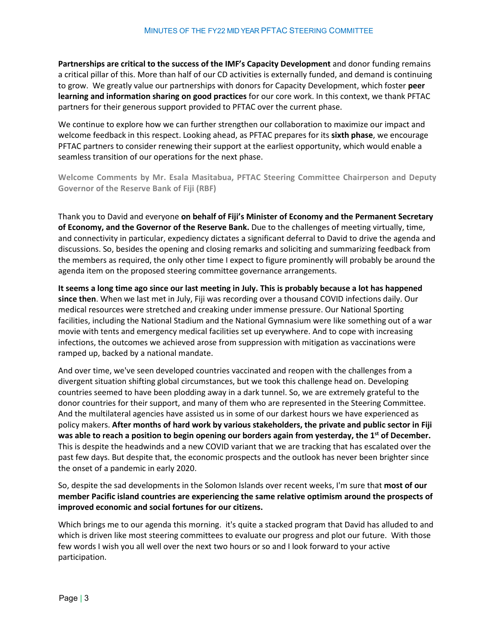**Partnerships are critical to the success of the IMF's Capacity Development** and donor funding remains a critical pillar of this. More than half of our CD activities is externally funded, and demand is continuing to grow. We greatly value our partnerships with donors for Capacity Development, which foster **peer learning and information sharing on good practices** for our core work. In this context, we thank PFTAC partners for their generous support provided to PFTAC over the current phase.

We continue to explore how we can further strengthen our collaboration to maximize our impact and welcome feedback in this respect. Looking ahead, as PFTAC prepares for its **sixth phase**, we encourage PFTAC partners to consider renewing their support at the earliest opportunity, which would enable a seamless transition of our operations for the next phase.

<span id="page-2-0"></span>**Welcome Comments by Mr. Esala Masitabua, PFTAC Steering Committee Chairperson and Deputy Governor of the Reserve Bank of Fiji (RBF)**

Thank you to David and everyone **on behalf of Fiji's Minister of Economy and the Permanent Secretary of Economy, and the Governor of the Reserve Bank.** Due to the challenges of meeting virtually, time, and connectivity in particular, expediency dictates a significant deferral to David to drive the agenda and discussions. So, besides the opening and closing remarks and soliciting and summarizing feedback from the members as required, the only other time I expect to figure prominently will probably be around the agenda item on the proposed steering committee governance arrangements.

**It seems a long time ago since our last meeting in July. This is probably because a lot has happened since then**. When we last met in July, Fiji was recording over a thousand COVID infections daily. Our medical resources were stretched and creaking under immense pressure. Our National Sporting facilities, including the National Stadium and the National Gymnasium were like something out of a war movie with tents and emergency medical facilities set up everywhere. And to cope with increasing infections, the outcomes we achieved arose from suppression with mitigation as vaccinations were ramped up, backed by a national mandate.

And over time, we've seen developed countries vaccinated and reopen with the challenges from a divergent situation shifting global circumstances, but we took this challenge head on. Developing countries seemed to have been plodding away in a dark tunnel. So, we are extremely grateful to the donor countries for their support, and many of them who are represented in the Steering Committee. And the multilateral agencies have assisted us in some of our darkest hours we have experienced as policy makers. **After months of hard work by various stakeholders, the private and public sector in Fiji**  was able to reach a position to begin opening our borders again from yesterday, the 1<sup>st</sup> of December. This is despite the headwinds and a new COVID variant that we are tracking that has escalated over the past few days. But despite that, the economic prospects and the outlook has never been brighter since the onset of a pandemic in early 2020.

So, despite the sad developments in the Solomon Islands over recent weeks, I'm sure that **most of our member Pacific island countries are experiencing the same relative optimism around the prospects of improved economic and social fortunes for our citizens.** 

Which brings me to our agenda this morning. it's quite a stacked program that David has alluded to and which is driven like most steering committees to evaluate our progress and plot our future. With those few words I wish you all well over the next two hours or so and I look forward to your active participation.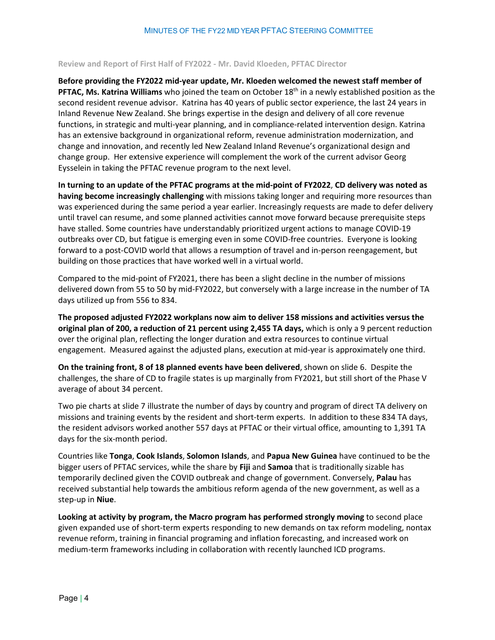### <span id="page-3-0"></span>**Review and Report of First Half of FY2022 - Mr. David Kloeden, PFTAC Director**

**Before providing the FY2022 mid-year update, Mr. Kloeden welcomed the newest staff member of PFTAC, Ms. Katrina Williams** who joined the team on October 18th in a newly established position as the second resident revenue advisor. Katrina has 40 years of public sector experience, the last 24 years in Inland Revenue New Zealand. She brings expertise in the design and delivery of all core revenue functions, in strategic and multi-year planning, and in compliance-related intervention design. Katrina has an extensive background in organizational reform, revenue administration modernization, and change and innovation, and recently led New Zealand Inland Revenue's organizational design and change group. Her extensive experience will complement the work of the current advisor Georg Eysselein in taking the PFTAC revenue program to the next level.

**In turning to an update of the PFTAC programs at the mid-point of FY2022**, **CD delivery was noted as having become increasingly challenging** with missions taking longer and requiring more resources than was experienced during the same period a year earlier. Increasingly requests are made to defer delivery until travel can resume, and some planned activities cannot move forward because prerequisite steps have stalled. Some countries have understandably prioritized urgent actions to manage COVID-19 outbreaks over CD, but fatigue is emerging even in some COVID-free countries. Everyone is looking forward to a post-COVID world that allows a resumption of travel and in-person reengagement, but building on those practices that have worked well in a virtual world.

Compared to the mid-point of FY2021, there has been a slight decline in the number of missions delivered down from 55 to 50 by mid-FY2022, but conversely with a large increase in the number of TA days utilized up from 556 to 834.

**The proposed adjusted FY2022 workplans now aim to deliver 158 missions and activities versus the original plan of 200, a reduction of 21 percent using 2,455 TA days,** which is only a 9 percent reduction over the original plan, reflecting the longer duration and extra resources to continue virtual engagement. Measured against the adjusted plans, execution at mid-year is approximately one third.

**On the training front, 8 of 18 planned events have been delivered**, shown on slide 6. Despite the challenges, the share of CD to fragile states is up marginally from FY2021, but still short of the Phase V average of about 34 percent.

Two pie charts at slide 7 illustrate the number of days by country and program of direct TA delivery on missions and training events by the resident and short-term experts. In addition to these 834 TA days, the resident advisors worked another 557 days at PFTAC or their virtual office, amounting to 1,391 TA days for the six-month period.

Countries like **Tonga**, **Cook Islands**, **Solomon Islands**, and **Papua New Guinea** have continued to be the bigger users of PFTAC services, while the share by **Fiji** and **Samoa** that is traditionally sizable has temporarily declined given the COVID outbreak and change of government. Conversely, **Palau** has received substantial help towards the ambitious reform agenda of the new government, as well as a step-up in **Niue**.

**Looking at activity by program, the Macro program has performed strongly moving** to second place given expanded use of short-term experts responding to new demands on tax reform modeling, nontax revenue reform, training in financial programing and inflation forecasting, and increased work on medium-term frameworks including in collaboration with recently launched ICD programs.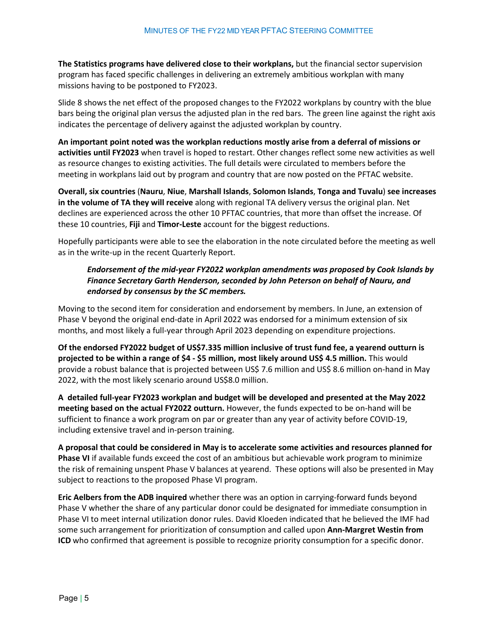**The Statistics programs have delivered close to their workplans,** but the financial sector supervision program has faced specific challenges in delivering an extremely ambitious workplan with many missions having to be postponed to FY2023.

Slide 8 shows the net effect of the proposed changes to the FY2022 workplans by country with the blue bars being the original plan versus the adjusted plan in the red bars. The green line against the right axis indicates the percentage of delivery against the adjusted workplan by country.

**An important point noted was the workplan reductions mostly arise from a deferral of missions or activities until FY2023** when travel is hoped to restart. Other changes reflect some new activities as well as resource changes to existing activities. The full details were circulated to members before the meeting in workplans laid out by program and country that are now posted on the PFTAC website.

**Overall, six countries** (**Nauru**, **Niue**, **Marshall Islands**, **Solomon Islands**, **Tonga and Tuvalu**) **see increases in the volume of TA they will receive** along with regional TA delivery versus the original plan. Net declines are experienced across the other 10 PFTAC countries, that more than offset the increase. Of these 10 countries, **Fiji** and **Timor-Leste** account for the biggest reductions.

Hopefully participants were able to see the elaboration in the note circulated before the meeting as well as in the write-up in the recent Quarterly Report.

## *Endorsement of the mid-year FY2022 workplan amendments was proposed by Cook Islands by Finance Secretary Garth Henderson, seconded by John Peterson on behalf of Nauru, and endorsed by consensus by the SC members.*

Moving to the second item for consideration and endorsement by members. In June, an extension of Phase V beyond the original end-date in April 2022 was endorsed for a minimum extension of six months, and most likely a full-year through April 2023 depending on expenditure projections.

**Of the endorsed FY2022 budget of US\$7.335 million inclusive of trust fund fee, a yearend outturn is projected to be within a range of \$4 - \$5 million, most likely around US\$ 4.5 million.** This would provide a robust balance that is projected between US\$ 7.6 million and US\$ 8.6 million on-hand in May 2022, with the most likely scenario around US\$8.0 million.

**A detailed full-year FY2023 workplan and budget will be developed and presented at the May 2022 meeting based on the actual FY2022 outturn.** However, the funds expected to be on-hand will be sufficient to finance a work program on par or greater than any year of activity before COVID-19, including extensive travel and in-person training.

**A proposal that could be considered in May is to accelerate some activities and resources planned for Phase VI** if available funds exceed the cost of an ambitious but achievable work program to minimize the risk of remaining unspent Phase V balances at yearend. These options will also be presented in May subject to reactions to the proposed Phase VI program.

**Eric Aelbers from the ADB inquired** whether there was an option in carrying-forward funds beyond Phase V whether the share of any particular donor could be designated for immediate consumption in Phase VI to meet internal utilization donor rules. David Kloeden indicated that he believed the IMF had some such arrangement for prioritization of consumption and called upon **Ann-Margret Westin from ICD** who confirmed that agreement is possible to recognize priority consumption for a specific donor.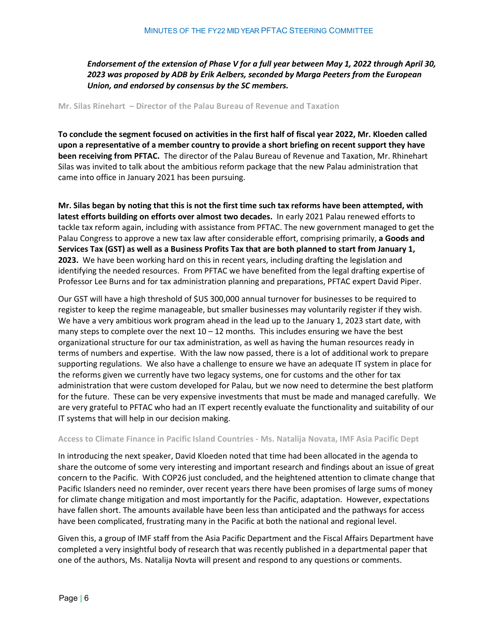*Endorsement of the extension of Phase V for a full year between May 1, 2022 through April 30, 2023 was proposed by ADB by Erik Aelbers, seconded by Marga Peeters from the European Union, and endorsed by consensus by the SC members.* 

#### <span id="page-5-0"></span>**Mr. Silas Rinehart – Director of the Palau Bureau of Revenue and Taxation**

**To conclude the segment focused on activities in the first half of fiscal year 2022, Mr. Kloeden called upon a representative of a member country to provide a short briefing on recent support they have been receiving from PFTAC.** The director of the Palau Bureau of Revenue and Taxation, Mr. Rhinehart Silas was invited to talk about the ambitious reform package that the new Palau administration that came into office in January 2021 has been pursuing.

**Mr. Silas began by noting that this is not the first time such tax reforms have been attempted, with latest efforts building on efforts over almost two decades.** In early 2021 Palau renewed efforts to tackle tax reform again, including with assistance from PFTAC. The new government managed to get the Palau Congress to approve a new tax law after considerable effort, comprising primarily, **a Goods and Services Tax (GST) as well as a Business Profits Tax that are both planned to start from January 1, 2023.** We have been working hard on this in recent years, including drafting the legislation and identifying the needed resources. From PFTAC we have benefited from the legal drafting expertise of Professor Lee Burns and for tax administration planning and preparations, PFTAC expert David Piper.

Our GST will have a high threshold of \$US 300,000 annual turnover for businesses to be required to register to keep the regime manageable, but smaller businesses may voluntarily register if they wish. We have a very ambitious work program ahead in the lead up to the January 1, 2023 start date, with many steps to complete over the next  $10 - 12$  months. This includes ensuring we have the best organizational structure for our tax administration, as well as having the human resources ready in terms of numbers and expertise. With the law now passed, there is a lot of additional work to prepare supporting regulations. We also have a challenge to ensure we have an adequate IT system in place for the reforms given we currently have two legacy systems, one for customs and the other for tax administration that were custom developed for Palau, but we now need to determine the best platform for the future. These can be very expensive investments that must be made and managed carefully. We are very grateful to PFTAC who had an IT expert recently evaluate the functionality and suitability of our IT systems that will help in our decision making.

#### <span id="page-5-1"></span>**Access to Climate Finance in Pacific Island Countries - Ms. Natalija Novata, IMF Asia Pacific Dept**

In introducing the next speaker, David Kloeden noted that time had been allocated in the agenda to share the outcome of some very interesting and important research and findings about an issue of great concern to the Pacific. With COP26 just concluded, and the heightened attention to climate change that Pacific Islanders need no reminder, over recent years there have been promises of large sums of money for climate change mitigation and most importantly for the Pacific, adaptation. However, expectations have fallen short. The amounts available have been less than anticipated and the pathways for access have been complicated, frustrating many in the Pacific at both the national and regional level.

Given this, a group of IMF staff from the Asia Pacific Department and the Fiscal Affairs Department have completed a very insightful body of research that was recently published in a departmental paper that one of the authors, Ms. Natalija Novta will present and respond to any questions or comments.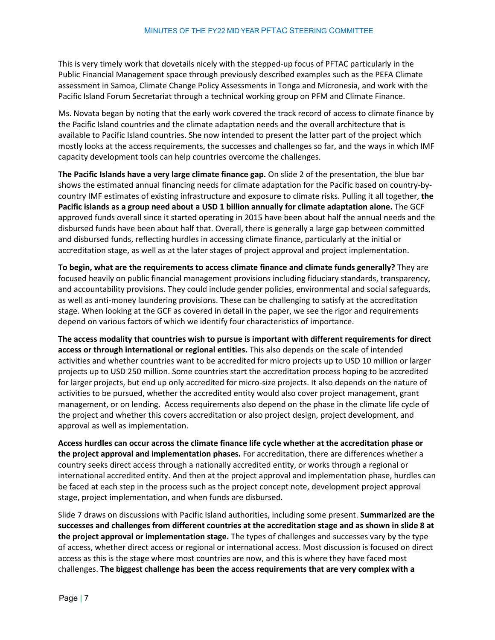This is very timely work that dovetails nicely with the stepped-up focus of PFTAC particularly in the Public Financial Management space through previously described examples such as the PEFA Climate assessment in Samoa, Climate Change Policy Assessments in Tonga and Micronesia, and work with the Pacific Island Forum Secretariat through a technical working group on PFM and Climate Finance.

Ms. Novata began by noting that the early work covered the track record of access to climate finance by the Pacific Island countries and the climate adaptation needs and the overall architecture that is available to Pacific Island countries. She now intended to present the latter part of the project which mostly looks at the access requirements, the successes and challenges so far, and the ways in which IMF capacity development tools can help countries overcome the challenges.

**The Pacific Islands have a very large climate finance gap.** On slide 2 of the presentation, the blue bar shows the estimated annual financing needs for climate adaptation for the Pacific based on country-bycountry IMF estimates of existing infrastructure and exposure to climate risks. Pulling it all together, **the Pacific islands as a group need about a USD 1 billion annually for climate adaptation alone.** The GCF approved funds overall since it started operating in 2015 have been about half the annual needs and the disbursed funds have been about half that. Overall, there is generally a large gap between committed and disbursed funds, reflecting hurdles in accessing climate finance, particularly at the initial or accreditation stage, as well as at the later stages of project approval and project implementation.

**To begin, what are the requirements to access climate finance and climate funds generally?** They are focused heavily on public financial management provisions including fiduciary standards, transparency, and accountability provisions. They could include gender policies, environmental and social safeguards, as well as anti-money laundering provisions. These can be challenging to satisfy at the accreditation stage. When looking at the GCF as covered in detail in the paper, we see the rigor and requirements depend on various factors of which we identify four characteristics of importance.

**The access modality that countries wish to pursue is important with different requirements for direct access or through international or regional entities.** This also depends on the scale of intended activities and whether countries want to be accredited for micro projects up to USD 10 million or larger projects up to USD 250 million. Some countries start the accreditation process hoping to be accredited for larger projects, but end up only accredited for micro-size projects. It also depends on the nature of activities to be pursued, whether the accredited entity would also cover project management, grant management, or on lending. Access requirements also depend on the phase in the climate life cycle of the project and whether this covers accreditation or also project design, project development, and approval as well as implementation.

**Access hurdles can occur across the climate finance life cycle whether at the accreditation phase or the project approval and implementation phases.** For accreditation, there are differences whether a country seeks direct access through a nationally accredited entity, or works through a regional or international accredited entity. And then at the project approval and implementation phase, hurdles can be faced at each step in the process such as the project concept note, development project approval stage, project implementation, and when funds are disbursed.

Slide 7 draws on discussions with Pacific Island authorities, including some present. **Summarized are the successes and challenges from different countries at the accreditation stage and as shown in slide 8 at the project approval or implementation stage.** The types of challenges and successes vary by the type of access, whether direct access or regional or international access. Most discussion is focused on direct access as this is the stage where most countries are now, and this is where they have faced most challenges. **The biggest challenge has been the access requirements that are very complex with a**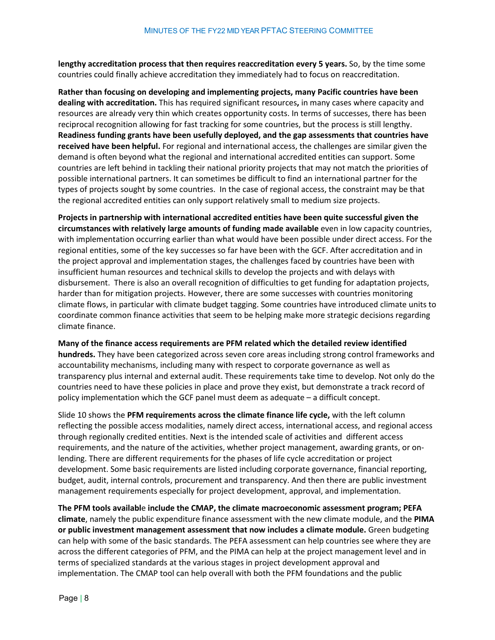**lengthy accreditation process that then requires reaccreditation every 5 years.** So, by the time some countries could finally achieve accreditation they immediately had to focus on reaccreditation.

**Rather than focusing on developing and implementing projects, many Pacific countries have been dealing with accreditation.** This has required significant resources**,** in many cases where capacity and resources are already very thin which creates opportunity costs. In terms of successes, there has been reciprocal recognition allowing for fast tracking for some countries, but the process is still lengthy. **Readiness funding grants have been usefully deployed, and the gap assessments that countries have received have been helpful.** For regional and international access, the challenges are similar given the demand is often beyond what the regional and international accredited entities can support. Some countries are left behind in tackling their national priority projects that may not match the priorities of possible international partners. It can sometimes be difficult to find an international partner for the types of projects sought by some countries. In the case of regional access, the constraint may be that the regional accredited entities can only support relatively small to medium size projects.

**Projects in partnership with international accredited entities have been quite successful given the circumstances with relatively large amounts of funding made available** even in low capacity countries, with implementation occurring earlier than what would have been possible under direct access. For the regional entities, some of the key successes so far have been with the GCF. After accreditation and in the project approval and implementation stages, the challenges faced by countries have been with insufficient human resources and technical skills to develop the projects and with delays with disbursement. There is also an overall recognition of difficulties to get funding for adaptation projects, harder than for mitigation projects. However, there are some successes with countries monitoring climate flows, in particular with climate budget tagging. Some countries have introduced climate units to coordinate common finance activities that seem to be helping make more strategic decisions regarding climate finance.

#### **Many of the finance access requirements are PFM related which the detailed review identified**

**hundreds.** They have been categorized across seven core areas including strong control frameworks and accountability mechanisms, including many with respect to corporate governance as well as transparency plus internal and external audit. These requirements take time to develop. Not only do the countries need to have these policies in place and prove they exist, but demonstrate a track record of policy implementation which the GCF panel must deem as adequate – a difficult concept.

Slide 10 shows the **PFM requirements across the climate finance life cycle,** with the left column reflecting the possible access modalities, namely direct access, international access, and regional access through regionally credited entities. Next is the intended scale of activities and different access requirements, and the nature of the activities, whether project management, awarding grants, or onlending. There are different requirements for the phases of life cycle accreditation or project development. Some basic requirements are listed including corporate governance, financial reporting, budget, audit, internal controls, procurement and transparency. And then there are public investment management requirements especially for project development, approval, and implementation.

**The PFM tools availabl**e **include the CMAP, the climate macroeconomic assessment program; PEFA climate**, namely the public expenditure finance assessment with the new climate module, and the **PIMA or public investment management assessment that now includes a climate module.** Green budgeting can help with some of the basic standards. The PEFA assessment can help countries see where they are across the different categories of PFM, and the PIMA can help at the project management level and in terms of specialized standards at the various stages in project development approval and implementation. The CMAP tool can help overall with both the PFM foundations and the public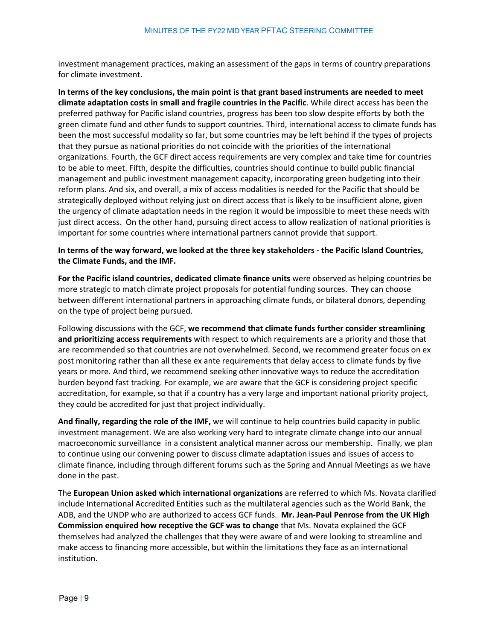investment management practices, making an assessment of the gaps in terms of country preparations for climate investment.

**In terms of the key conclusions, the main point is that grant based instruments are needed to meet climate adaptation costs in small and fragile countries in the Pacific**. While direct access has been the preferred pathway for Pacific island countries, progress has been too slow despite efforts by both the green climate fund and other funds to support countries. Third, international access to climate funds has been the most successful modality so far, but some countries may be left behind if the types of projects that they pursue as national priorities do not coincide with the priorities of the international organizations. Fourth, the GCF direct access requirements are very complex and take time for countries to be able to meet. Fifth, despite the difficulties, countries should continue to build public financial management and public investment management capacity, incorporating green budgeting into their reform plans. And six, and overall, a mix of access modalities is needed for the Pacific that should be strategically deployed without relying just on direct access that is likely to be insufficient alone, given the urgency of climate adaptation needs in the region it would be impossible to meet these needs with just direct access. On the other hand, pursuing direct access to allow realization of national priorities is important for some countries where international partners cannot provide that support.

## **In terms of the way forward, we looked at the three key stakeholders - the Pacific Island Countries, the Climate Funds, and the IMF.**

**For the Pacific island countries, dedicated climate finance units** were observed as helping countries be more strategic to match climate project proposals for potential funding sources. They can choose between different international partners in approaching climate funds, or bilateral donors, depending on the type of project being pursued.

Following discussions with the GCF, **we recommend that climate funds further consider streamlining and prioritizing access requirements** with respect to which requirements are a priority and those that are recommended so that countries are not overwhelmed. Second, we recommend greater focus on ex post monitoring rather than all these ex ante requirements that delay access to climate funds by five years or more. And third, we recommend seeking other innovative ways to reduce the accreditation burden beyond fast tracking. For example, we are aware that the GCF is considering project specific accreditation, for example, so that if a country has a very large and important national priority project, they could be accredited for just that project individually.

**And finally, regarding the role of the IMF,** we will continue to help countries build capacity in public investment management. We are also working very hard to integrate climate change into our annual macroeconomic surveillance in a consistent analytical manner across our membership. Finally, we plan to continue using our convening power to discuss climate adaptation issues and issues of access to climate finance, including through different forums such as the Spring and Annual Meetings as we have done in the past.

The **European Union asked which international organizations** are referred to which Ms. Novata clarified include International Accredited Entities such as the multilateral agencies such as the World Bank, the ADB, and the UNDP who are authorized to access GCF funds. **Mr. Jean-Paul Penrose from the UK High Commission enquired how receptive the GCF was to change** that Ms. Novata explained the GCF themselves had analyzed the challenges that they were aware of and were looking to streamline and make access to financing more accessible, but within the limitations they face as an international institution.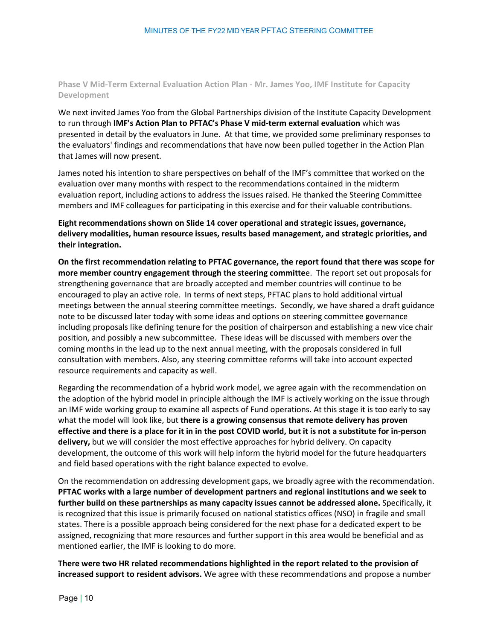<span id="page-9-0"></span>**Phase V Mid-Term External Evaluation Action Plan - Mr. James Yoo, IMF Institute for Capacity Development**

We next invited James Yoo from the Global Partnerships division of the Institute Capacity Development to run through **IMF's Action Plan to PFTAC's Phase V mid-term external evaluation** which was presented in detail by the evaluators in June. At that time, we provided some preliminary responses to the evaluators' findings and recommendations that have now been pulled together in the Action Plan that James will now present.

James noted his intention to share perspectives on behalf of the IMF's committee that worked on the evaluation over many months with respect to the recommendations contained in the midterm evaluation report, including actions to address the issues raised. He thanked the Steering Committee members and IMF colleagues for participating in this exercise and for their valuable contributions.

**Eight recommendations shown on Slide 14 cover operational and strategic issues, governance, delivery modalities, human resource issues, results based management, and strategic priorities, and their integration.**

**On the first recommendation relating to PFTAC governance, the report found that there was scope for more member country engagement through the steering committe**e. The report set out proposals for strengthening governance that are broadly accepted and member countries will continue to be encouraged to play an active role. In terms of next steps, PFTAC plans to hold additional virtual meetings between the annual steering committee meetings. Secondly, we have shared a draft guidance note to be discussed later today with some ideas and options on steering committee governance including proposals like defining tenure for the position of chairperson and establishing a new vice chair position, and possibly a new subcommittee. These ideas will be discussed with members over the coming months in the lead up to the next annual meeting, with the proposals considered in full consultation with members. Also, any steering committee reforms will take into account expected resource requirements and capacity as well.

Regarding the recommendation of a hybrid work model, we agree again with the recommendation on the adoption of the hybrid model in principle although the IMF is actively working on the issue through an IMF wide working group to examine all aspects of Fund operations. At this stage it is too early to say what the model will look like, but **there is a growing consensus that remote delivery has proven effective and there is a place for it in in the post COVID world, but it is not a substitute for in-person delivery,** but we will consider the most effective approaches for hybrid delivery. On capacity development, the outcome of this work will help inform the hybrid model for the future headquarters and field based operations with the right balance expected to evolve.

On the recommendation on addressing development gaps, we broadly agree with the recommendation. **PFTAC works with a large number of development partners and regional institutions and we seek to further build on these partnerships as many capacity issues cannot be addressed alone.** Specifically, it is recognized that this issue is primarily focused on national statistics offices (NSO) in fragile and small states. There is a possible approach being considered for the next phase for a dedicated expert to be assigned, recognizing that more resources and further support in this area would be beneficial and as mentioned earlier, the IMF is looking to do more.

**There were two HR related recommendations highlighted in the report related to the provision of increased support to resident advisors.** We agree with these recommendations and propose a number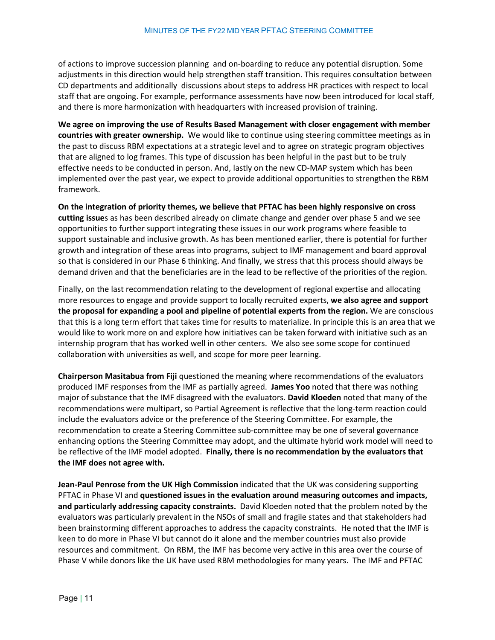of actions to improve succession planning and on-boarding to reduce any potential disruption. Some adjustments in this direction would help strengthen staff transition. This requires consultation between CD departments and additionally discussions about steps to address HR practices with respect to local staff that are ongoing. For example, performance assessments have now been introduced for local staff, and there is more harmonization with headquarters with increased provision of training.

**We agree on improving the use of Results Based Management with closer engagement with member countries with greater ownership.** We would like to continue using steering committee meetings as in the past to discuss RBM expectations at a strategic level and to agree on strategic program objectives that are aligned to log frames. This type of discussion has been helpful in the past but to be truly effective needs to be conducted in person. And, lastly on the new CD-MAP system which has been implemented over the past year, we expect to provide additional opportunities to strengthen the RBM framework.

**On the integration of priority themes, we believe that PFTAC has been highly responsive on cross cutting issue**s as has been described already on climate change and gender over phase 5 and we see opportunities to further support integrating these issues in our work programs where feasible to support sustainable and inclusive growth. As has been mentioned earlier, there is potential for further growth and integration of these areas into programs, subject to IMF management and board approval so that is considered in our Phase 6 thinking. And finally, we stress that this process should always be demand driven and that the beneficiaries are in the lead to be reflective of the priorities of the region.

Finally, on the last recommendation relating to the development of regional expertise and allocating more resources to engage and provide support to locally recruited experts, **we also agree and support the proposal for expanding a pool and pipeline of potential experts from the region.** We are conscious that this is a long term effort that takes time for results to materialize. In principle this is an area that we would like to work more on and explore how initiatives can be taken forward with initiative such as an internship program that has worked well in other centers. We also see some scope for continued collaboration with universities as well, and scope for more peer learning.

**Chairperson Masitabua from Fiji** questioned the meaning where recommendations of the evaluators produced IMF responses from the IMF as partially agreed. **James Yoo** noted that there was nothing major of substance that the IMF disagreed with the evaluators. **David Kloeden** noted that many of the recommendations were multipart, so Partial Agreement is reflective that the long-term reaction could include the evaluators advice or the preference of the Steering Committee. For example, the recommendation to create a Steering Committee sub-committee may be one of several governance enhancing options the Steering Committee may adopt, and the ultimate hybrid work model will need to be reflective of the IMF model adopted. **Finally, there is no recommendation by the evaluators that the IMF does not agree with.** 

**Jean-Paul Penrose from the UK High Commission** indicated that the UK was considering supporting PFTAC in Phase VI and **questioned issues in the evaluation around measuring outcomes and impacts, and particularly addressing capacity constraints.** David Kloeden noted that the problem noted by the evaluators was particularly prevalent in the NSOs of small and fragile states and that stakeholders had been brainstorming different approaches to address the capacity constraints. He noted that the IMF is keen to do more in Phase VI but cannot do it alone and the member countries must also provide resources and commitment. On RBM, the IMF has become very active in this area over the course of Phase V while donors like the UK have used RBM methodologies for many years. The IMF and PFTAC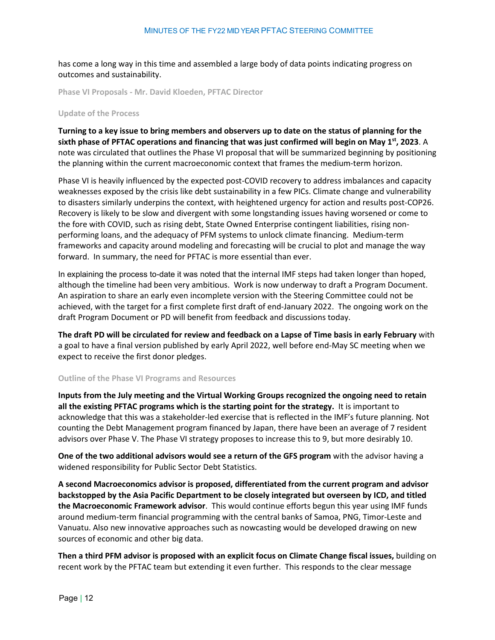has come a long way in this time and assembled a large body of data points indicating progress on outcomes and sustainability.

<span id="page-11-0"></span>**Phase VI Proposals - Mr. David Kloeden, PFTAC Director**

#### **Update of the Process**

**Turning to a key issue to bring members and observers up to date on the status of planning for the sixth phase of PFTAC operations and financing that was just confirmed will begin on May 1st, 2023**. A note was circulated that outlines the Phase VI proposal that will be summarized beginning by positioning the planning within the current macroeconomic context that frames the medium-term horizon.

Phase VI is heavily influenced by the expected post-COVID recovery to address imbalances and capacity weaknesses exposed by the crisis like debt sustainability in a few PICs. Climate change and vulnerability to disasters similarly underpins the context, with heightened urgency for action and results post-COP26. Recovery is likely to be slow and divergent with some longstanding issues having worsened or come to the fore with COVID, such as rising debt, State Owned Enterprise contingent liabilities, rising nonperforming loans, and the adequacy of PFM systems to unlock climate financing. Medium-term frameworks and capacity around modeling and forecasting will be crucial to plot and manage the way forward. In summary, the need for PFTAC is more essential than ever.

In explaining the process to-date it was noted that the internal IMF steps had taken longer than hoped, although the timeline had been very ambitious. Work is now underway to draft a Program Document. An aspiration to share an early even incomplete version with the Steering Committee could not be achieved, with the target for a first complete first draft of end-January 2022. The ongoing work on the draft Program Document or PD will benefit from feedback and discussions today.

**The draft PD will be circulated for review and feedback on a Lapse of Time basis in early February** with a goal to have a final version published by early April 2022, well before end-May SC meeting when we expect to receive the first donor pledges.

#### **Outline of the Phase VI Programs and Resources**

**Inputs from the July meeting and the Virtual Working Groups recognized the ongoing need to retain all the existing PFTAC programs which is the starting point for the strategy.** It is important to acknowledge that this was a stakeholder-led exercise that is reflected in the IMF's future planning. Not counting the Debt Management program financed by Japan, there have been an average of 7 resident advisors over Phase V. The Phase VI strategy proposes to increase this to 9, but more desirably 10.

**One of the two additional advisors would see a return of the GFS program** with the advisor having a widened responsibility for Public Sector Debt Statistics.

**A second Macroeconomics advisor is proposed, differentiated from the current program and advisor backstopped by the Asia Pacific Department to be closely integrated but overseen by ICD, and titled the Macroeconomic Framework advisor**. This would continue efforts begun this year using IMF funds around medium-term financial programming with the central banks of Samoa, PNG, Timor-Leste and Vanuatu. Also new innovative approaches such as nowcasting would be developed drawing on new sources of economic and other big data.

**Then a third PFM advisor is proposed with an explicit focus on Climate Change fiscal issues,** building on recent work by the PFTAC team but extending it even further. This responds to the clear message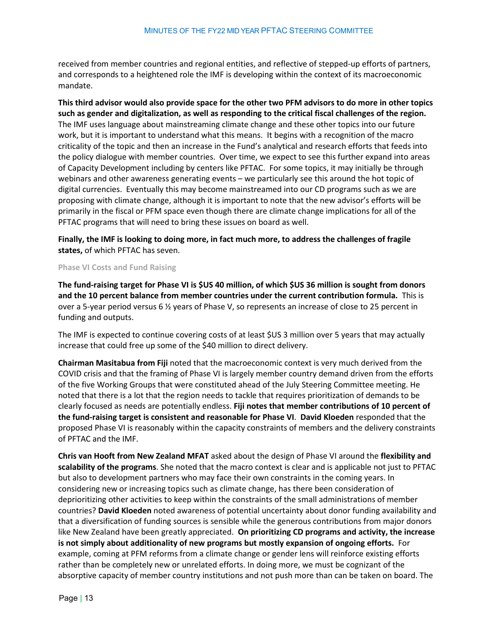received from member countries and regional entities, and reflective of stepped-up efforts of partners, and corresponds to a heightened role the IMF is developing within the context of its macroeconomic mandate.

**This third advisor would also provide space for the other two PFM advisors to do more in other topics such as gender and digitalization, as well as responding to the critical fiscal challenges of the region.** The IMF uses language about mainstreaming climate change and these other topics into our future work, but it is important to understand what this means. It begins with a recognition of the macro criticality of the topic and then an increase in the Fund's analytical and research efforts that feeds into the policy dialogue with member countries. Over time, we expect to see this further expand into areas of Capacity Development including by centers like PFTAC. For some topics, it may initially be through webinars and other awareness generating events – we particularly see this around the hot topic of digital currencies. Eventually this may become mainstreamed into our CD programs such as we are proposing with climate change, although it is important to note that the new advisor's efforts will be primarily in the fiscal or PFM space even though there are climate change implications for all of the PFTAC programs that will need to bring these issues on board as well.

**Finally, the IMF is looking to doing more, in fact much more, to address the challenges of fragile states,** of which PFTAC has seven.

#### **Phase VI Costs and Fund Raising**

**The fund-raising target for Phase VI is \$US 40 million, of which \$US 36 million is sought from donors and the 10 percent balance from member countries under the current contribution formula.** This is over a 5-year period versus 6 ½ years of Phase V, so represents an increase of close to 25 percent in funding and outputs.

The IMF is expected to continue covering costs of at least \$US 3 million over 5 years that may actually increase that could free up some of the \$40 million to direct delivery.

**Chairman Masitabua from Fiji** noted that the macroeconomic context is very much derived from the COVID crisis and that the framing of Phase VI is largely member country demand driven from the efforts of the five Working Groups that were constituted ahead of the July Steering Committee meeting. He noted that there is a lot that the region needs to tackle that requires prioritization of demands to be clearly focused as needs are potentially endless. **Fiji notes that member contributions of 10 percent of the fund-raising target is consistent and reasonable for Phase VI**. **David Kloeden** responded that the proposed Phase VI is reasonably within the capacity constraints of members and the delivery constraints of PFTAC and the IMF.

**Chris van Hooft from New Zealand MFAT** asked about the design of Phase VI around the **flexibility and scalability of the programs**. She noted that the macro context is clear and is applicable not just to PFTAC but also to development partners who may face their own constraints in the coming years. In considering new or increasing topics such as climate change, has there been consideration of deprioritizing other activities to keep within the constraints of the small administrations of member countries? **David Kloeden** noted awareness of potential uncertainty about donor funding availability and that a diversification of funding sources is sensible while the generous contributions from major donors like New Zealand have been greatly appreciated. **On prioritizing CD programs and activity, the increase is not simply about additionality of new programs but mostly expansion of ongoing efforts.** For example, coming at PFM reforms from a climate change or gender lens will reinforce existing efforts rather than be completely new or unrelated efforts. In doing more, we must be cognizant of the absorptive capacity of member country institutions and not push more than can be taken on board. The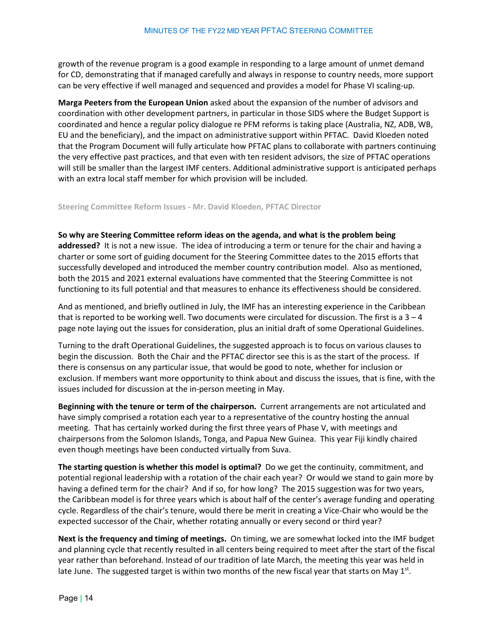growth of the revenue program is a good example in responding to a large amount of unmet demand for CD, demonstrating that if managed carefully and always in response to country needs, more support can be very effective if well managed and sequenced and provides a model for Phase VI scaling-up.

**Marga Peeters from the European Union** asked about the expansion of the number of advisors and coordination with other development partners, in particular in those SIDS where the Budget Support is coordinated and hence a regular policy dialogue re PFM reforms is taking place (Australia, NZ, ADB, WB, EU and the beneficiary), and the impact on administrative support within PFTAC. David Kloeden noted that the Program Document will fully articulate how PFTAC plans to collaborate with partners continuing the very effective past practices, and that even with ten resident advisors, the size of PFTAC operations will still be smaller than the largest IMF centers. Additional administrative support is anticipated perhaps with an extra local staff member for which provision will be included.

<span id="page-13-0"></span>**Steering Committee Reform Issues - Mr. David Kloeden, PFTAC Director**

**So why are Steering Committee reform ideas on the agenda, and what is the problem being addressed?** It is not a new issue. The idea of introducing a term or tenure for the chair and having a charter or some sort of guiding document for the Steering Committee dates to the 2015 efforts that successfully developed and introduced the member country contribution model. Also as mentioned, both the 2015 and 2021 external evaluations have commented that the Steering Committee is not functioning to its full potential and that measures to enhance its effectiveness should be considered.

And as mentioned, and briefly outlined in July, the IMF has an interesting experience in the Caribbean that is reported to be working well. Two documents were circulated for discussion. The first is a  $3 - 4$ page note laying out the issues for consideration, plus an initial draft of some Operational Guidelines.

Turning to the draft Operational Guidelines, the suggested approach is to focus on various clauses to begin the discussion. Both the Chair and the PFTAC director see this is as the start of the process. If there is consensus on any particular issue, that would be good to note, whether for inclusion or exclusion. If members want more opportunity to think about and discuss the issues, that is fine, with the issues included for discussion at the in-person meeting in May.

**Beginning with the tenure or term of the chairperson.** Current arrangements are not articulated and have simply comprised a rotation each year to a representative of the country hosting the annual meeting. That has certainly worked during the first three years of Phase V, with meetings and chairpersons from the Solomon Islands, Tonga, and Papua New Guinea. This year Fiji kindly chaired even though meetings have been conducted virtually from Suva.

**The starting question is whether this model is optimal?** Do we get the continuity, commitment, and potential regional leadership with a rotation of the chair each year? Or would we stand to gain more by having a defined term for the chair? And if so, for how long? The 2015 suggestion was for two years, the Caribbean model is for three years which is about half of the center's average funding and operating cycle. Regardless of the chair's tenure, would there be merit in creating a Vice-Chair who would be the expected successor of the Chair, whether rotating annually or every second or third year?

**Next is the frequency and timing of meetings.** On timing, we are somewhat locked into the IMF budget and planning cycle that recently resulted in all centers being required to meet after the start of the fiscal year rather than beforehand. Instead of our tradition of late March, the meeting this year was held in late June. The suggested target is within two months of the new fiscal year that starts on May  $1<sup>st</sup>$ .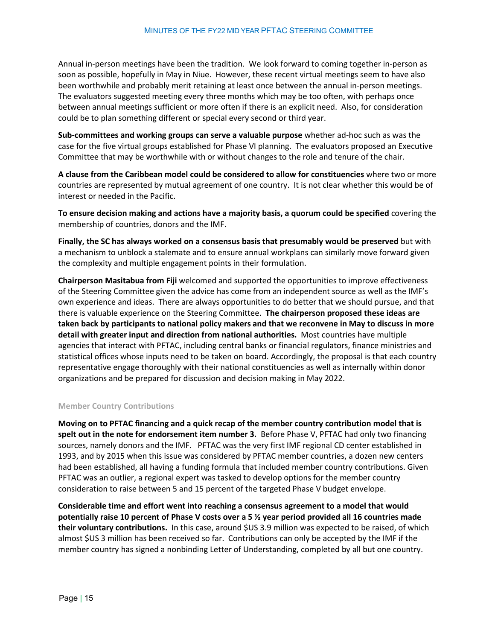Annual in-person meetings have been the tradition. We look forward to coming together in-person as soon as possible, hopefully in May in Niue. However, these recent virtual meetings seem to have also been worthwhile and probably merit retaining at least once between the annual in-person meetings. The evaluators suggested meeting every three months which may be too often, with perhaps once between annual meetings sufficient or more often if there is an explicit need. Also, for consideration could be to plan something different or special every second or third year.

**Sub-committees and working groups can serve a valuable purpose** whether ad-hoc such as was the case for the five virtual groups established for Phase VI planning. The evaluators proposed an Executive Committee that may be worthwhile with or without changes to the role and tenure of the chair.

**A clause from the Caribbean model could be considered to allow for constituencies** where two or more countries are represented by mutual agreement of one country. It is not clear whether this would be of interest or needed in the Pacific.

**To ensure decision making and actions have a majority basis, a quorum could be specified** covering the membership of countries, donors and the IMF.

**Finally, the SC has always worked on a consensus basis that presumably would be preserved** but with a mechanism to unblock a stalemate and to ensure annual workplans can similarly move forward given the complexity and multiple engagement points in their formulation.

**Chairperson Masitabua from Fiji** welcomed and supported the opportunities to improve effectiveness of the Steering Committee given the advice has come from an independent source as well as the IMF's own experience and ideas. There are always opportunities to do better that we should pursue, and that there is valuable experience on the Steering Committee. **The chairperson proposed these ideas are taken back by participants to national policy makers and that we reconvene in May to discuss in more detail with greater input and direction from national authorities.** Most countries have multiple agencies that interact with PFTAC, including central banks or financial regulators, finance ministries and statistical offices whose inputs need to be taken on board. Accordingly, the proposal is that each country representative engage thoroughly with their national constituencies as well as internally within donor organizations and be prepared for discussion and decision making in May 2022.

#### **Member Country Contributions**

**Moving on to PFTAC financing and a quick recap of the member country contribution model that is spelt out in the note for endorsement item number 3.** Before Phase V, PFTAC had only two financing sources, namely donors and the IMF. PFTAC was the very first IMF regional CD center established in 1993, and by 2015 when this issue was considered by PFTAC member countries, a dozen new centers had been established, all having a funding formula that included member country contributions. Given PFTAC was an outlier, a regional expert was tasked to develop options for the member country consideration to raise between 5 and 15 percent of the targeted Phase V budget envelope.

**Considerable time and effort went into reaching a consensus agreement to a model that would potentially raise 10 percent of Phase V costs over a 5 ½ year period provided all 16 countries made their voluntary contributions.** In this case, around \$US 3.9 million was expected to be raised, of which almost \$US 3 million has been received so far. Contributions can only be accepted by the IMF if the member country has signed a nonbinding Letter of Understanding, completed by all but one country.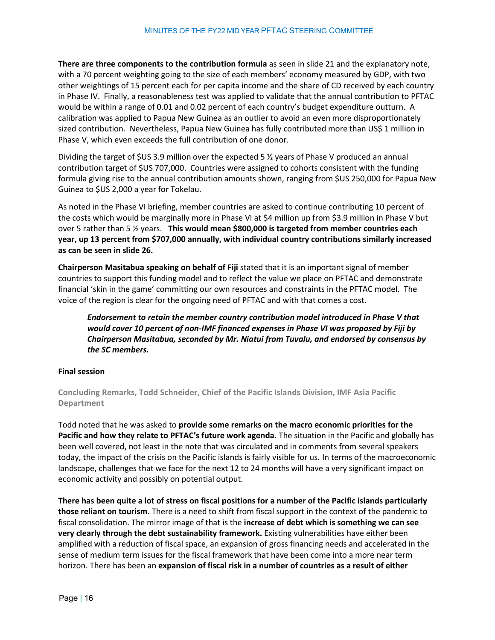**There are three components to the contribution formula** as seen in slide 21 and the explanatory note, with a 70 percent weighting going to the size of each members' economy measured by GDP, with two other weightings of 15 percent each for per capita income and the share of CD received by each country in Phase IV. Finally, a reasonableness test was applied to validate that the annual contribution to PFTAC would be within a range of 0.01 and 0.02 percent of each country's budget expenditure outturn. A calibration was applied to Papua New Guinea as an outlier to avoid an even more disproportionately sized contribution. Nevertheless, Papua New Guinea has fully contributed more than US\$ 1 million in Phase V, which even exceeds the full contribution of one donor.

Dividing the target of \$US 3.9 million over the expected 5 ½ years of Phase V produced an annual contribution target of \$US 707,000. Countries were assigned to cohorts consistent with the funding formula giving rise to the annual contribution amounts shown, ranging from \$US 250,000 for Papua New Guinea to \$US 2,000 a year for Tokelau.

As noted in the Phase VI briefing, member countries are asked to continue contributing 10 percent of the costs which would be marginally more in Phase VI at \$4 million up from \$3.9 million in Phase V but over 5 rather than 5 ½ years. **This would mean \$800,000 is targeted from member countries each year, up 13 percent from \$707,000 annually, with individual country contributions similarly increased as can be seen in slide 26.** 

**Chairperson Masitabua speaking on behalf of Fiji** stated that it is an important signal of member countries to support this funding model and to reflect the value we place on PFTAC and demonstrate financial 'skin in the game' committing our own resources and constraints in the PFTAC model. The voice of the region is clear for the ongoing need of PFTAC and with that comes a cost.

*Endorsement to retain the member country contribution model introduced in Phase V that would cover 10 percent of non-IMF financed expenses in Phase VI was proposed by Fiji by Chairperson Masitabua, seconded by Mr. Niatui from Tuvalu, and endorsed by consensus by the SC members.* 

## <span id="page-15-0"></span>**Final session**

**Concluding Remarks, Todd Schneider, Chief of the Pacific Islands Division, IMF Asia Pacific Department**

Todd noted that he was asked to **provide some remarks on the macro economic priorities for the Pacific and how they relate to PFTAC's future work agenda.** The situation in the Pacific and globally has been well covered, not least in the note that was circulated and in comments from several speakers today, the impact of the crisis on the Pacific islands is fairly visible for us. In terms of the macroeconomic landscape, challenges that we face for the next 12 to 24 months will have a very significant impact on economic activity and possibly on potential output.

**There has been quite a lot of stress on fiscal positions for a number of the Pacific islands particularly those reliant on tourism.** There is a need to shift from fiscal support in the context of the pandemic to fiscal consolidation. The mirror image of that is the **increase of debt which is something we can see very clearly through the debt sustainability framework.** Existing vulnerabilities have either been amplified with a reduction of fiscal space, an expansion of gross financing needs and accelerated in the sense of medium term issues for the fiscal framework that have been come into a more near term horizon. There has been an **expansion of fiscal risk in a number of countries as a result of either**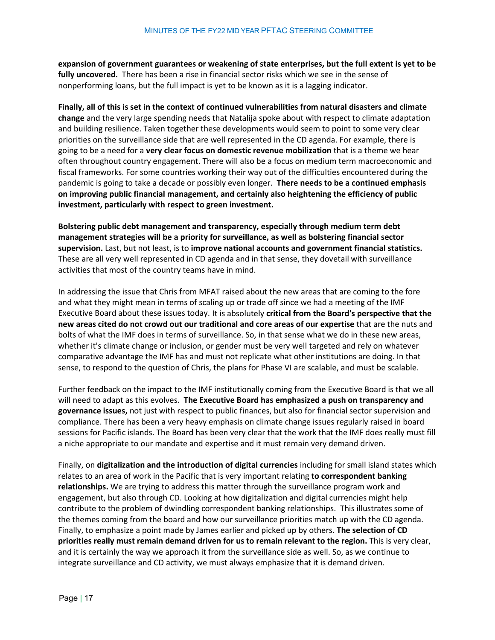**expansion of government guarantees or weakening of state enterprises, but the full extent is yet to be fully uncovered.** There has been a rise in financial sector risks which we see in the sense of nonperforming loans, but the full impact is yet to be known as it is a lagging indicator.

**Finally, all of this is set in the context of continued vulnerabilities from natural disasters and climate change** and the very large spending needs that Natalija spoke about with respect to climate adaptation and building resilience. Taken together these developments would seem to point to some very clear priorities on the surveillance side that are well represented in the CD agenda. For example, there is going to be a need for a **very clear focus on domestic revenue mobilization** that is a theme we hear often throughout country engagement. There will also be a focus on medium term macroeconomic and fiscal frameworks. For some countries working their way out of the difficulties encountered during the pandemic is going to take a decade or possibly even longer. **There needs to be a continued emphasis on improving public financial management, and certainly also heightening the efficiency of public investment, particularly with respect to green investment.**

**Bolstering public debt management and transparency, especially through medium term debt management strategies will be a priority for surveillance, as well as bolstering financial sector supervision.** Last, but not least, is to **improve national accounts and government financial statistics.**  These are all very well represented in CD agenda and in that sense, they dovetail with surveillance activities that most of the country teams have in mind.

In addressing the issue that Chris from MFAT raised about the new areas that are coming to the fore and what they might mean in terms of scaling up or trade off since we had a meeting of the IMF Executive Board about these issues today. It is absolutely **critical from the Board's perspective that the new areas cited do not crowd out our traditional and core areas of our expertise** that are the nuts and bolts of what the IMF does in terms of surveillance. So, in that sense what we do in these new areas, whether it's climate change or inclusion, or gender must be very well targeted and rely on whatever comparative advantage the IMF has and must not replicate what other institutions are doing. In that sense, to respond to the question of Chris, the plans for Phase VI are scalable, and must be scalable.

Further feedback on the impact to the IMF institutionally coming from the Executive Board is that we all will need to adapt as this evolves. **The Executive Board has emphasized a push on transparency and governance issues,** not just with respect to public finances, but also for financial sector supervision and compliance. There has been a very heavy emphasis on climate change issues regularly raised in board sessions for Pacific islands. The Board has been very clear that the work that the IMF does really must fill a niche appropriate to our mandate and expertise and it must remain very demand driven.

Finally, on **digitalization and the introduction of digital currencies** including for small island states which relates to an area of work in the Pacific that is very important relating **to correspondent banking relationships.** We are trying to address this matter through the surveillance program work and engagement, but also through CD. Looking at how digitalization and digital currencies might help contribute to the problem of dwindling correspondent banking relationships. This illustrates some of the themes coming from the board and how our surveillance priorities match up with the CD agenda. Finally, to emphasize a point made by James earlier and picked up by others. **The selection of CD priorities really must remain demand driven for us to remain relevant to the region.** This is very clear, and it is certainly the way we approach it from the surveillance side as well. So, as we continue to integrate surveillance and CD activity, we must always emphasize that it is demand driven.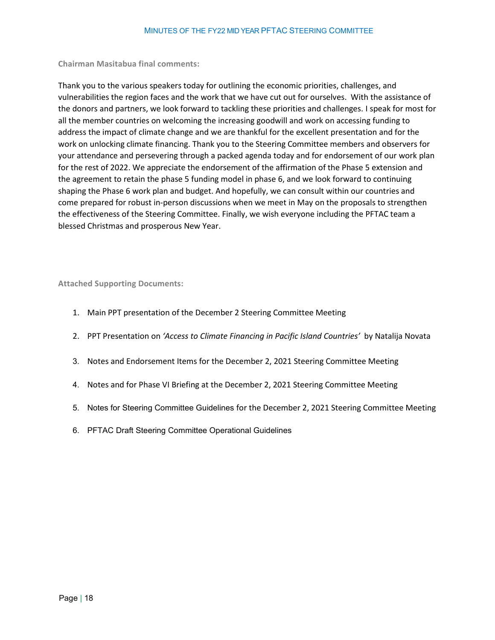<span id="page-17-0"></span>**Chairman Masitabua final comments:**

Thank you to the various speakers today for outlining the economic priorities, challenges, and vulnerabilities the region faces and the work that we have cut out for ourselves. With the assistance of the donors and partners, we look forward to tackling these priorities and challenges. I speak for most for all the member countries on welcoming the increasing goodwill and work on accessing funding to address the impact of climate change and we are thankful for the excellent presentation and for the work on unlocking climate financing. Thank you to the Steering Committee members and observers for your attendance and persevering through a packed agenda today and for endorsement of our work plan for the rest of 2022. We appreciate the endorsement of the affirmation of the Phase 5 extension and the agreement to retain the phase 5 funding model in phase 6, and we look forward to continuing shaping the Phase 6 work plan and budget. And hopefully, we can consult within our countries and come prepared for robust in-person discussions when we meet in May on the proposals to strengthen the effectiveness of the Steering Committee. Finally, we wish everyone including the PFTAC team a blessed Christmas and prosperous New Year.

<span id="page-17-1"></span>**Attached Supporting Documents:**

- 1. Main PPT presentation of the December 2 Steering Committee Meeting
- 2. PPT Presentation on *'Access to Climate Financing in Pacific Island Countries'* by Natalija Novata
- 3. Notes and Endorsement Items for the December 2, 2021 Steering Committee Meeting
- 4. Notes and for Phase VI Briefing at the December 2, 2021 Steering Committee Meeting
- 5. Notes for Steering Committee Guidelines for the December 2, 2021 Steering Committee Meeting
- 6. PFTAC Draft Steering Committee Operational Guidelines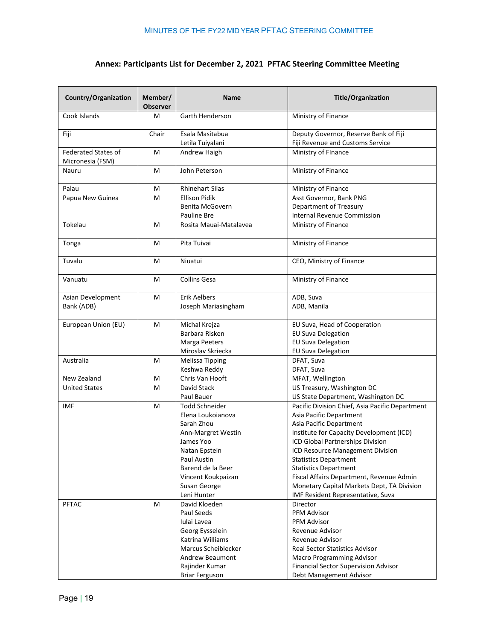# **Annex: Participants List for December 2, 2021 PFTAC Steering Committee Meeting**

| <b>Country/Organization</b> | Member/<br><b>Observer</b> | <b>Name</b>            | <b>Title/Organization</b>                       |
|-----------------------------|----------------------------|------------------------|-------------------------------------------------|
| Cook Islands                | M                          | Garth Henderson        | Ministry of Finance                             |
| Fiji                        | Chair                      | Esala Masitabua        | Deputy Governor, Reserve Bank of Fiji           |
|                             |                            | Letila Tuiyalani       | Fiji Revenue and Customs Service                |
| <b>Federated States of</b>  | M                          | Andrew Haigh           | Ministry of FInance                             |
| Micronesia (FSM)            |                            |                        |                                                 |
| Nauru                       | M                          | John Peterson          | Ministry of Finance                             |
| Palau                       | M                          | <b>Rhinehart Silas</b> | Ministry of Finance                             |
| Papua New Guinea            | M                          | <b>Ellison Pidik</b>   | Asst Governor, Bank PNG                         |
|                             |                            | Benita McGovern        | Department of Treasury                          |
|                             |                            | Pauline Bre            | Internal Revenue Commission                     |
| Tokelau                     | M                          | Rosita Mauai-Matalavea | Ministry of Finance                             |
| Tonga                       | M                          | Pita Tuivai            | Ministry of Finance                             |
| Tuvalu                      | М                          | Niuatui                | CEO, Ministry of Finance                        |
| Vanuatu                     | М                          | <b>Collins Gesa</b>    | Ministry of Finance                             |
| Asian Development           | M                          | <b>Erik Aelbers</b>    | ADB, Suva                                       |
| Bank (ADB)                  |                            | Joseph Mariasingham    | ADB, Manila                                     |
| European Union (EU)         | M                          | Michal Krejza          | EU Suva, Head of Cooperation                    |
|                             |                            | Barbara Risken         | <b>EU Suva Delegation</b>                       |
|                             |                            | Marga Peeters          | <b>EU Suva Delegation</b>                       |
|                             |                            | Miroslav Skriecka      | <b>EU Suva Delegation</b>                       |
| Australia                   | M                          | <b>Melissa Tipping</b> | DFAT, Suva                                      |
|                             |                            | Keshwa Reddy           | DFAT, Suva                                      |
| New Zealand                 | M                          | Chris Van Hooft        | MFAT, Wellington                                |
| <b>United States</b>        | M                          | David Stack            | US Treasury, Washington DC                      |
|                             |                            | Paul Bauer             | US State Department, Washington DC              |
| <b>IMF</b>                  | M                          | Todd Schneider         | Pacific Division Chief, Asia Pacific Department |
|                             |                            | Elena Loukoianova      | Asia Pacific Department                         |
|                             |                            | Sarah Zhou             | Asia Pacific Department                         |
|                             |                            | Ann-Margret Westin     | Institute for Capacity Development (ICD)        |
|                             |                            | James Yoo              | ICD Global Partnerships Division                |
|                             |                            | Natan Epstein          | ICD Resource Management Division                |
|                             |                            | Paul Austin            | <b>Statistics Department</b>                    |
|                             |                            | Barend de la Beer      | <b>Statistics Department</b>                    |
|                             |                            | Vincent Koukpaizan     | Fiscal Affairs Department, Revenue Admin        |
|                             |                            | Susan George           | Monetary Capital Markets Dept, TA Division      |
|                             |                            | Leni Hunter            | IMF Resident Representative, Suva               |
| <b>PFTAC</b>                | М                          | David Kloeden          | Director                                        |
|                             |                            | Paul Seeds             | <b>PFM Advisor</b>                              |
|                             |                            | Iulai Lavea            | PFM Advisor                                     |
|                             |                            | Georg Eysselein        | Revenue Advisor                                 |
|                             |                            | Katrina Williams       | Revenue Advisor                                 |
|                             |                            | Marcus Scheiblecker    | <b>Real Sector Statistics Advisor</b>           |
|                             |                            | <b>Andrew Beaumont</b> | Macro Programming Advisor                       |
|                             |                            | Rajinder Kumar         | Financial Sector Supervision Advisor            |
|                             |                            | <b>Briar Ferguson</b>  | Debt Management Advisor                         |